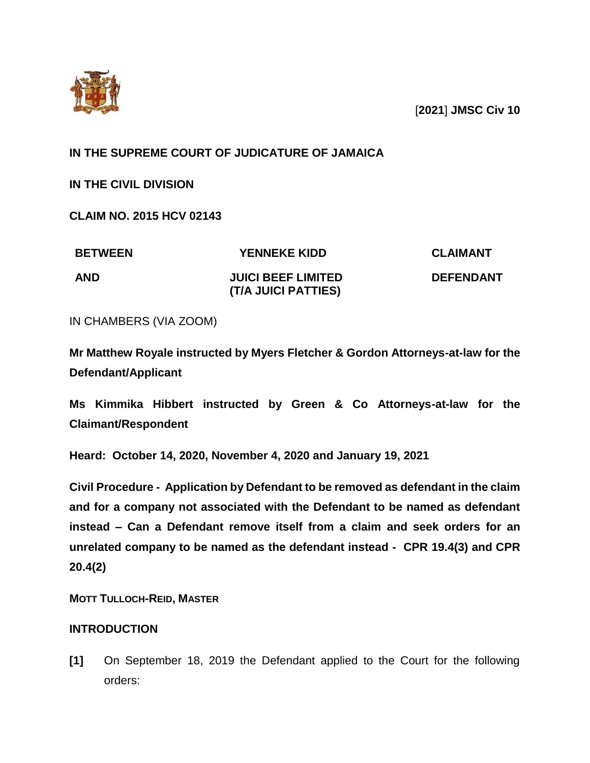

[**2021**] **JMSC Civ 10**

# **IN THE SUPREME COURT OF JUDICATURE OF JAMAICA**

**IN THE CIVIL DIVISION**

**CLAIM NO. 2015 HCV 02143**

| <b>BETWEEN</b> | <b>YENNEKE KIDD</b>                              | <b>CLAIMANT</b>  |
|----------------|--------------------------------------------------|------------------|
| <b>AND</b>     | <b>JUICI BEEF LIMITED</b><br>(T/A JUICI PATTIES) | <b>DEFENDANT</b> |

IN CHAMBERS (VIA ZOOM)

**Mr Matthew Royale instructed by Myers Fletcher & Gordon Attorneys-at-law for the Defendant/Applicant**

**Ms Kimmika Hibbert instructed by Green & Co Attorneys-at-law for the Claimant/Respondent**

**Heard: October 14, 2020, November 4, 2020 and January 19, 2021**

**Civil Procedure - Application by Defendant to be removed as defendant in the claim and for a company not associated with the Defendant to be named as defendant instead – Can a Defendant remove itself from a claim and seek orders for an unrelated company to be named as the defendant instead - CPR 19.4(3) and CPR 20.4(2)**

**MOTT TULLOCH-REID, MASTER**

## **INTRODUCTION**

**[1]** On September 18, 2019 the Defendant applied to the Court for the following orders: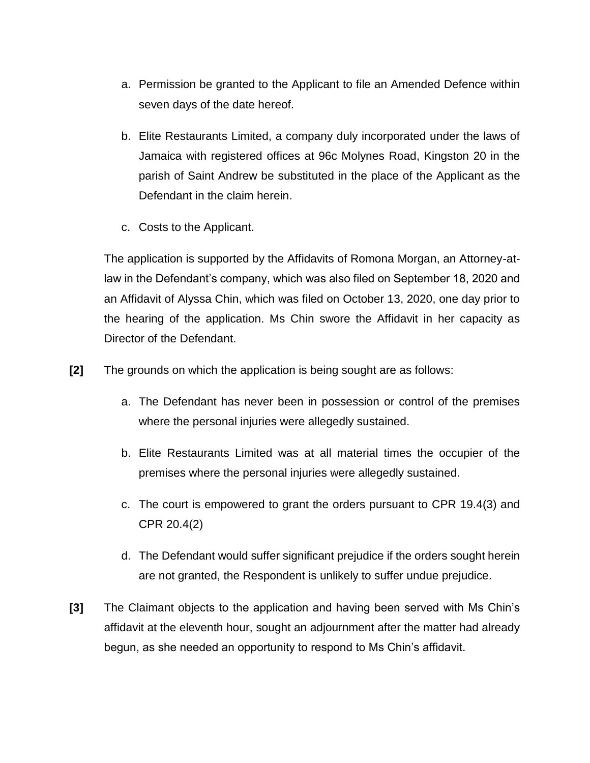- a. Permission be granted to the Applicant to file an Amended Defence within seven days of the date hereof.
- b. Elite Restaurants Limited, a company duly incorporated under the laws of Jamaica with registered offices at 96c Molynes Road, Kingston 20 in the parish of Saint Andrew be substituted in the place of the Applicant as the Defendant in the claim herein.
- c. Costs to the Applicant.

The application is supported by the Affidavits of Romona Morgan, an Attorney-atlaw in the Defendant's company, which was also filed on September 18, 2020 and an Affidavit of Alyssa Chin, which was filed on October 13, 2020, one day prior to the hearing of the application. Ms Chin swore the Affidavit in her capacity as Director of the Defendant.

- **[2]** The grounds on which the application is being sought are as follows:
	- a. The Defendant has never been in possession or control of the premises where the personal injuries were allegedly sustained.
	- b. Elite Restaurants Limited was at all material times the occupier of the premises where the personal injuries were allegedly sustained.
	- c. The court is empowered to grant the orders pursuant to CPR 19.4(3) and CPR 20.4(2)
	- d. The Defendant would suffer significant prejudice if the orders sought herein are not granted, the Respondent is unlikely to suffer undue prejudice.
- **[3]** The Claimant objects to the application and having been served with Ms Chin's affidavit at the eleventh hour, sought an adjournment after the matter had already begun, as she needed an opportunity to respond to Ms Chin's affidavit.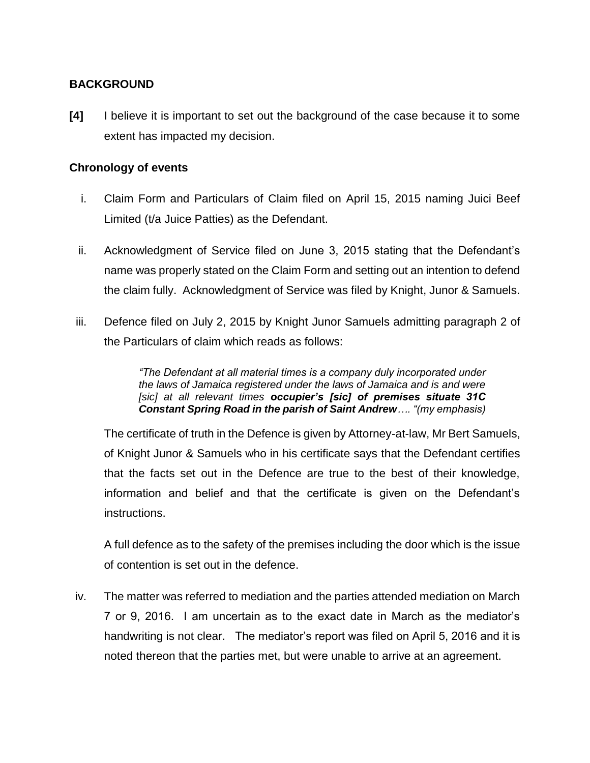## **BACKGROUND**

**[4]** I believe it is important to set out the background of the case because it to some extent has impacted my decision.

## **Chronology of events**

- i. Claim Form and Particulars of Claim filed on April 15, 2015 naming Juici Beef Limited (t/a Juice Patties) as the Defendant.
- ii. Acknowledgment of Service filed on June 3, 2015 stating that the Defendant's name was properly stated on the Claim Form and setting out an intention to defend the claim fully. Acknowledgment of Service was filed by Knight, Junor & Samuels.
- iii. Defence filed on July 2, 2015 by Knight Junor Samuels admitting paragraph 2 of the Particulars of claim which reads as follows:

*"The Defendant at all material times is a company duly incorporated under the laws of Jamaica registered under the laws of Jamaica and is and were [sic] at all relevant times occupier's [sic] of premises situate 31C Constant Spring Road in the parish of Saint Andrew…. "(my emphasis)*

The certificate of truth in the Defence is given by Attorney-at-law, Mr Bert Samuels, of Knight Junor & Samuels who in his certificate says that the Defendant certifies that the facts set out in the Defence are true to the best of their knowledge, information and belief and that the certificate is given on the Defendant's instructions.

A full defence as to the safety of the premises including the door which is the issue of contention is set out in the defence.

iv. The matter was referred to mediation and the parties attended mediation on March 7 or 9, 2016. I am uncertain as to the exact date in March as the mediator's handwriting is not clear. The mediator's report was filed on April 5, 2016 and it is noted thereon that the parties met, but were unable to arrive at an agreement.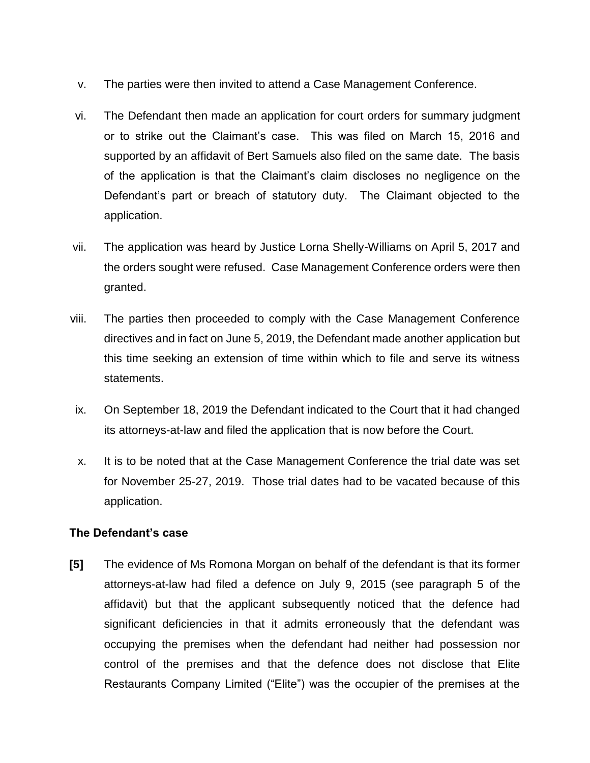- v. The parties were then invited to attend a Case Management Conference.
- vi. The Defendant then made an application for court orders for summary judgment or to strike out the Claimant's case. This was filed on March 15, 2016 and supported by an affidavit of Bert Samuels also filed on the same date. The basis of the application is that the Claimant's claim discloses no negligence on the Defendant's part or breach of statutory duty. The Claimant objected to the application.
- vii. The application was heard by Justice Lorna Shelly-Williams on April 5, 2017 and the orders sought were refused. Case Management Conference orders were then granted.
- viii. The parties then proceeded to comply with the Case Management Conference directives and in fact on June 5, 2019, the Defendant made another application but this time seeking an extension of time within which to file and serve its witness statements.
- ix. On September 18, 2019 the Defendant indicated to the Court that it had changed its attorneys-at-law and filed the application that is now before the Court.
- x. It is to be noted that at the Case Management Conference the trial date was set for November 25-27, 2019. Those trial dates had to be vacated because of this application.

## **The Defendant's case**

**[5]** The evidence of Ms Romona Morgan on behalf of the defendant is that its former attorneys-at-law had filed a defence on July 9, 2015 (see paragraph 5 of the affidavit) but that the applicant subsequently noticed that the defence had significant deficiencies in that it admits erroneously that the defendant was occupying the premises when the defendant had neither had possession nor control of the premises and that the defence does not disclose that Elite Restaurants Company Limited ("Elite") was the occupier of the premises at the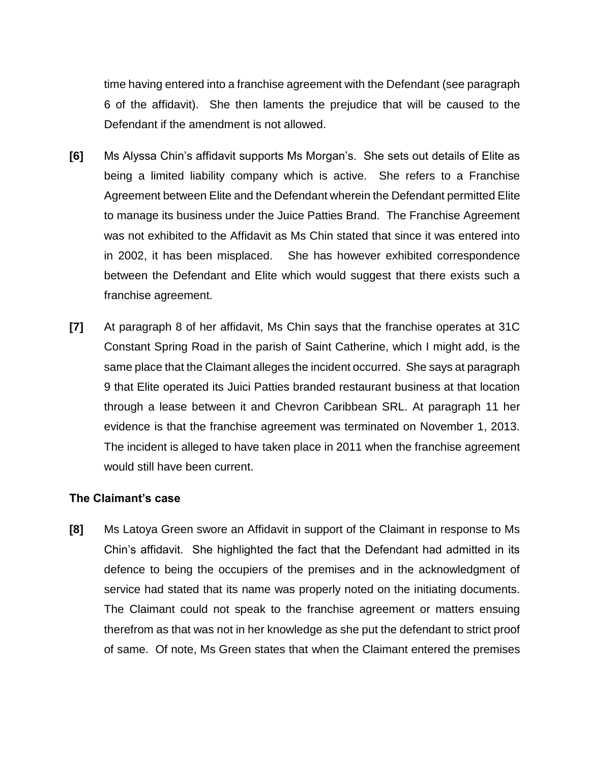time having entered into a franchise agreement with the Defendant (see paragraph 6 of the affidavit). She then laments the prejudice that will be caused to the Defendant if the amendment is not allowed.

- **[6]** Ms Alyssa Chin's affidavit supports Ms Morgan's. She sets out details of Elite as being a limited liability company which is active. She refers to a Franchise Agreement between Elite and the Defendant wherein the Defendant permitted Elite to manage its business under the Juice Patties Brand. The Franchise Agreement was not exhibited to the Affidavit as Ms Chin stated that since it was entered into in 2002, it has been misplaced. She has however exhibited correspondence between the Defendant and Elite which would suggest that there exists such a franchise agreement.
- **[7]** At paragraph 8 of her affidavit, Ms Chin says that the franchise operates at 31C Constant Spring Road in the parish of Saint Catherine, which I might add, is the same place that the Claimant alleges the incident occurred. She says at paragraph 9 that Elite operated its Juici Patties branded restaurant business at that location through a lease between it and Chevron Caribbean SRL. At paragraph 11 her evidence is that the franchise agreement was terminated on November 1, 2013. The incident is alleged to have taken place in 2011 when the franchise agreement would still have been current.

#### **The Claimant's case**

**[8]** Ms Latoya Green swore an Affidavit in support of the Claimant in response to Ms Chin's affidavit. She highlighted the fact that the Defendant had admitted in its defence to being the occupiers of the premises and in the acknowledgment of service had stated that its name was properly noted on the initiating documents. The Claimant could not speak to the franchise agreement or matters ensuing therefrom as that was not in her knowledge as she put the defendant to strict proof of same. Of note, Ms Green states that when the Claimant entered the premises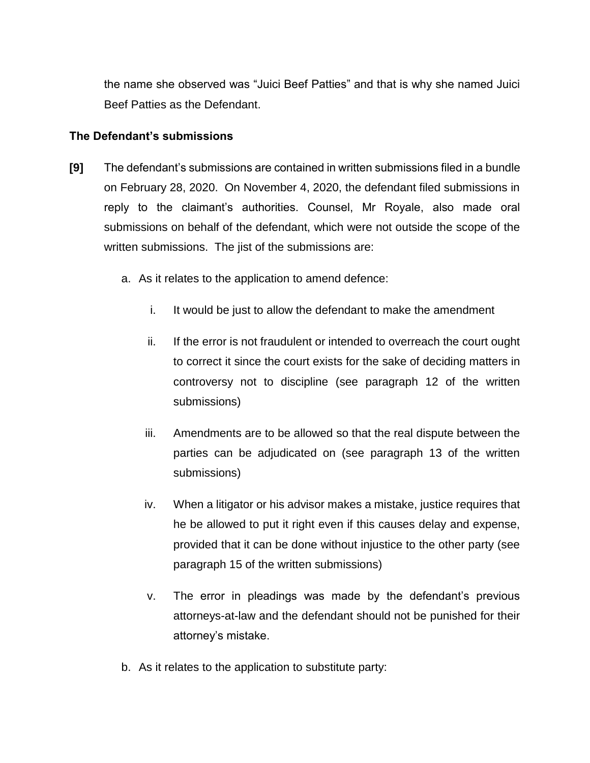the name she observed was "Juici Beef Patties" and that is why she named Juici Beef Patties as the Defendant.

#### **The Defendant's submissions**

- **[9]** The defendant's submissions are contained in written submissions filed in a bundle on February 28, 2020. On November 4, 2020, the defendant filed submissions in reply to the claimant's authorities. Counsel, Mr Royale, also made oral submissions on behalf of the defendant, which were not outside the scope of the written submissions. The jist of the submissions are:
	- a. As it relates to the application to amend defence:
		- i. It would be just to allow the defendant to make the amendment
		- ii. If the error is not fraudulent or intended to overreach the court ought to correct it since the court exists for the sake of deciding matters in controversy not to discipline (see paragraph 12 of the written submissions)
		- iii. Amendments are to be allowed so that the real dispute between the parties can be adjudicated on (see paragraph 13 of the written submissions)
		- iv. When a litigator or his advisor makes a mistake, justice requires that he be allowed to put it right even if this causes delay and expense, provided that it can be done without injustice to the other party (see paragraph 15 of the written submissions)
		- v. The error in pleadings was made by the defendant's previous attorneys-at-law and the defendant should not be punished for their attorney's mistake.
	- b. As it relates to the application to substitute party: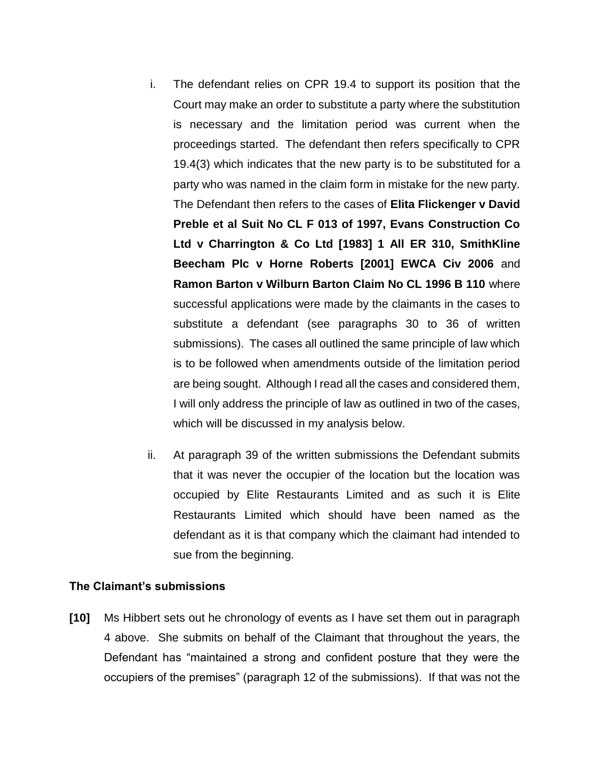- i. The defendant relies on CPR 19.4 to support its position that the Court may make an order to substitute a party where the substitution is necessary and the limitation period was current when the proceedings started. The defendant then refers specifically to CPR 19.4(3) which indicates that the new party is to be substituted for a party who was named in the claim form in mistake for the new party. The Defendant then refers to the cases of **Elita Flickenger v David Preble et al Suit No CL F 013 of 1997, Evans Construction Co Ltd v Charrington & Co Ltd [1983] 1 All ER 310, SmithKline Beecham Plc v Horne Roberts [2001] EWCA Civ 2006** and **Ramon Barton v Wilburn Barton Claim No CL 1996 B 110** where successful applications were made by the claimants in the cases to substitute a defendant (see paragraphs 30 to 36 of written submissions). The cases all outlined the same principle of law which is to be followed when amendments outside of the limitation period are being sought. Although I read all the cases and considered them, I will only address the principle of law as outlined in two of the cases, which will be discussed in my analysis below.
- ii. At paragraph 39 of the written submissions the Defendant submits that it was never the occupier of the location but the location was occupied by Elite Restaurants Limited and as such it is Elite Restaurants Limited which should have been named as the defendant as it is that company which the claimant had intended to sue from the beginning.

#### **The Claimant's submissions**

**[10]** Ms Hibbert sets out he chronology of events as I have set them out in paragraph 4 above. She submits on behalf of the Claimant that throughout the years, the Defendant has "maintained a strong and confident posture that they were the occupiers of the premises" (paragraph 12 of the submissions). If that was not the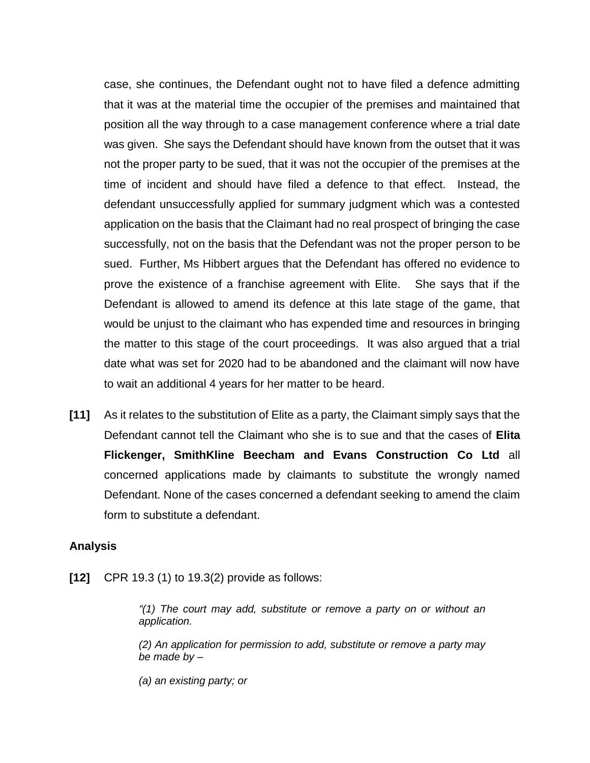case, she continues, the Defendant ought not to have filed a defence admitting that it was at the material time the occupier of the premises and maintained that position all the way through to a case management conference where a trial date was given. She says the Defendant should have known from the outset that it was not the proper party to be sued, that it was not the occupier of the premises at the time of incident and should have filed a defence to that effect. Instead, the defendant unsuccessfully applied for summary judgment which was a contested application on the basis that the Claimant had no real prospect of bringing the case successfully, not on the basis that the Defendant was not the proper person to be sued. Further, Ms Hibbert argues that the Defendant has offered no evidence to prove the existence of a franchise agreement with Elite. She says that if the Defendant is allowed to amend its defence at this late stage of the game, that would be unjust to the claimant who has expended time and resources in bringing the matter to this stage of the court proceedings. It was also argued that a trial date what was set for 2020 had to be abandoned and the claimant will now have to wait an additional 4 years for her matter to be heard.

**[11]** As it relates to the substitution of Elite as a party, the Claimant simply says that the Defendant cannot tell the Claimant who she is to sue and that the cases of **Elita Flickenger, SmithKline Beecham and Evans Construction Co Ltd** all concerned applications made by claimants to substitute the wrongly named Defendant. None of the cases concerned a defendant seeking to amend the claim form to substitute a defendant.

## **Analysis**

**[12]** CPR 19.3 (1) to 19.3(2) provide as follows:

*"(1) The court may add, substitute or remove a party on or without an application.*

*(2) An application for permission to add, substitute or remove a party may be made by –*

*(a) an existing party; or*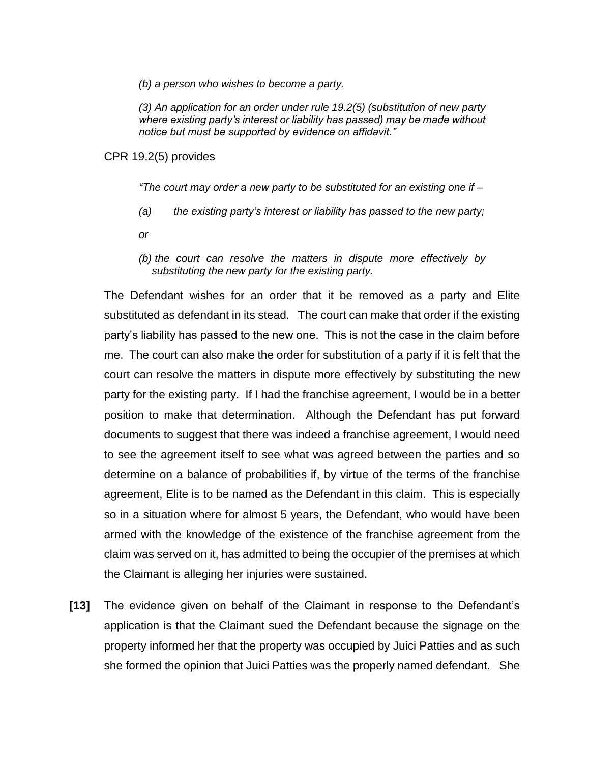*(b) a person who wishes to become a party.*

*(3) An application for an order under rule 19.2(5) (substitution of new party where existing party's interest or liability has passed) may be made without notice but must be supported by evidence on affidavit."*

CPR 19.2(5) provides

*"The court may order a new party to be substituted for an existing one if –*

- *(a) the existing party's interest or liability has passed to the new party;*
- *or*
- *(b) the court can resolve the matters in dispute more effectively by substituting the new party for the existing party.*

The Defendant wishes for an order that it be removed as a party and Elite substituted as defendant in its stead. The court can make that order if the existing party's liability has passed to the new one. This is not the case in the claim before me. The court can also make the order for substitution of a party if it is felt that the court can resolve the matters in dispute more effectively by substituting the new party for the existing party. If I had the franchise agreement, I would be in a better position to make that determination. Although the Defendant has put forward documents to suggest that there was indeed a franchise agreement, I would need to see the agreement itself to see what was agreed between the parties and so determine on a balance of probabilities if, by virtue of the terms of the franchise agreement, Elite is to be named as the Defendant in this claim. This is especially so in a situation where for almost 5 years, the Defendant, who would have been armed with the knowledge of the existence of the franchise agreement from the claim was served on it, has admitted to being the occupier of the premises at which the Claimant is alleging her injuries were sustained.

**[13]** The evidence given on behalf of the Claimant in response to the Defendant's application is that the Claimant sued the Defendant because the signage on the property informed her that the property was occupied by Juici Patties and as such she formed the opinion that Juici Patties was the properly named defendant. She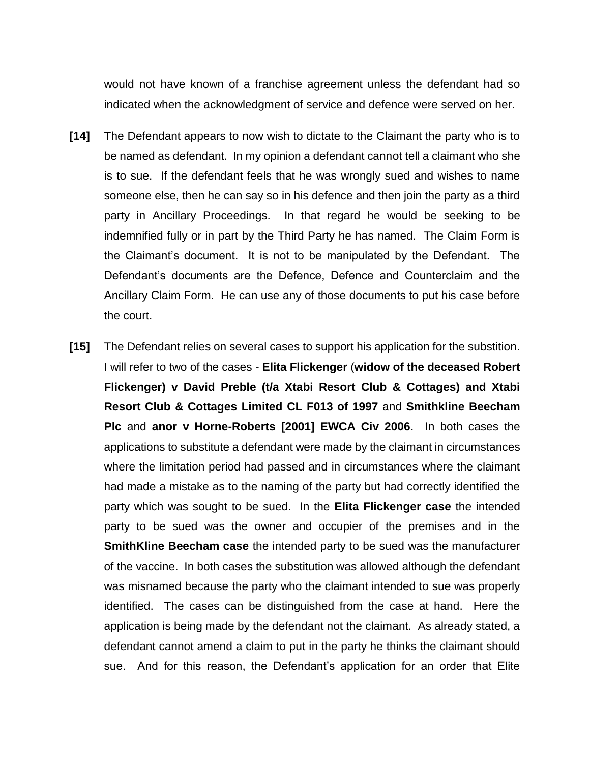would not have known of a franchise agreement unless the defendant had so indicated when the acknowledgment of service and defence were served on her.

- **[14]** The Defendant appears to now wish to dictate to the Claimant the party who is to be named as defendant. In my opinion a defendant cannot tell a claimant who she is to sue. If the defendant feels that he was wrongly sued and wishes to name someone else, then he can say so in his defence and then join the party as a third party in Ancillary Proceedings. In that regard he would be seeking to be indemnified fully or in part by the Third Party he has named. The Claim Form is the Claimant's document. It is not to be manipulated by the Defendant. The Defendant's documents are the Defence, Defence and Counterclaim and the Ancillary Claim Form. He can use any of those documents to put his case before the court.
- **[15]** The Defendant relies on several cases to support his application for the substition. I will refer to two of the cases - **Elita Flickenger** (**widow of the deceased Robert Flickenger) v David Preble (t/a Xtabi Resort Club & Cottages) and Xtabi Resort Club & Cottages Limited CL F013 of 1997** and **Smithkline Beecham Plc** and **anor v Horne-Roberts [2001] EWCA Civ 2006**. In both cases the applications to substitute a defendant were made by the claimant in circumstances where the limitation period had passed and in circumstances where the claimant had made a mistake as to the naming of the party but had correctly identified the party which was sought to be sued. In the **Elita Flickenger case** the intended party to be sued was the owner and occupier of the premises and in the **SmithKline Beecham case** the intended party to be sued was the manufacturer of the vaccine. In both cases the substitution was allowed although the defendant was misnamed because the party who the claimant intended to sue was properly identified. The cases can be distinguished from the case at hand. Here the application is being made by the defendant not the claimant. As already stated, a defendant cannot amend a claim to put in the party he thinks the claimant should sue. And for this reason, the Defendant's application for an order that Elite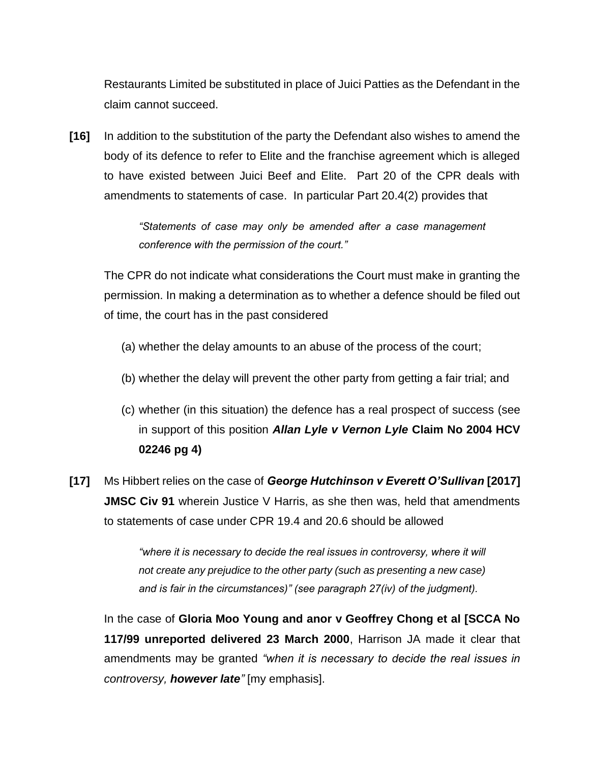Restaurants Limited be substituted in place of Juici Patties as the Defendant in the claim cannot succeed.

**[16]** In addition to the substitution of the party the Defendant also wishes to amend the body of its defence to refer to Elite and the franchise agreement which is alleged to have existed between Juici Beef and Elite. Part 20 of the CPR deals with amendments to statements of case. In particular Part 20.4(2) provides that

> *"Statements of case may only be amended after a case management conference with the permission of the court."*

The CPR do not indicate what considerations the Court must make in granting the permission. In making a determination as to whether a defence should be filed out of time, the court has in the past considered

- (a) whether the delay amounts to an abuse of the process of the court;
- (b) whether the delay will prevent the other party from getting a fair trial; and
- (c) whether (in this situation) the defence has a real prospect of success (see in support of this position *Allan Lyle v Vernon Lyle* **Claim No 2004 HCV 02246 pg 4)**
- **[17]** Ms Hibbert relies on the case of *George Hutchinson v Everett O'Sullivan* **[2017] JMSC Civ 91** wherein Justice V Harris, as she then was, held that amendments to statements of case under CPR 19.4 and 20.6 should be allowed

*"where it is necessary to decide the real issues in controversy, where it will not create any prejudice to the other party (such as presenting a new case) and is fair in the circumstances)" (see paragraph 27(iv) of the judgment).* 

In the case of **Gloria Moo Young and anor v Geoffrey Chong et al [SCCA No 117/99 unreported delivered 23 March 2000**, Harrison JA made it clear that amendments may be granted *"when it is necessary to decide the real issues in controversy, however late"* [my emphasis].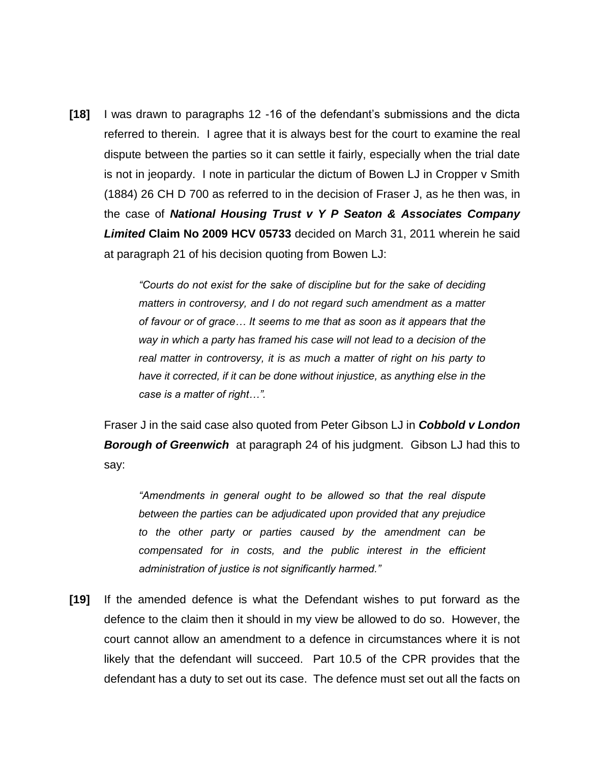**[18]** I was drawn to paragraphs 12 -16 of the defendant's submissions and the dicta referred to therein. I agree that it is always best for the court to examine the real dispute between the parties so it can settle it fairly, especially when the trial date is not in jeopardy. I note in particular the dictum of Bowen LJ in Cropper v Smith (1884) 26 CH D 700 as referred to in the decision of Fraser J, as he then was, in the case of *National Housing Trust v Y P Seaton & Associates Company Limited* **Claim No 2009 HCV 05733** decided on March 31, 2011 wherein he said at paragraph 21 of his decision quoting from Bowen LJ:

> *"Courts do not exist for the sake of discipline but for the sake of deciding matters in controversy, and I do not regard such amendment as a matter of favour or of grace… It seems to me that as soon as it appears that the way in which a party has framed his case will not lead to a decision of the real matter in controversy, it is as much a matter of right on his party to have it corrected, if it can be done without injustice, as anything else in the case is a matter of right…".*

Fraser J in the said case also quoted from Peter Gibson LJ in *Cobbold v London Borough of Greenwich* at paragraph 24 of his judgment. Gibson LJ had this to say:

*"Amendments in general ought to be allowed so that the real dispute between the parties can be adjudicated upon provided that any prejudice to the other party or parties caused by the amendment can be compensated for in costs, and the public interest in the efficient administration of justice is not significantly harmed."*

**[19]** If the amended defence is what the Defendant wishes to put forward as the defence to the claim then it should in my view be allowed to do so. However, the court cannot allow an amendment to a defence in circumstances where it is not likely that the defendant will succeed. Part 10.5 of the CPR provides that the defendant has a duty to set out its case. The defence must set out all the facts on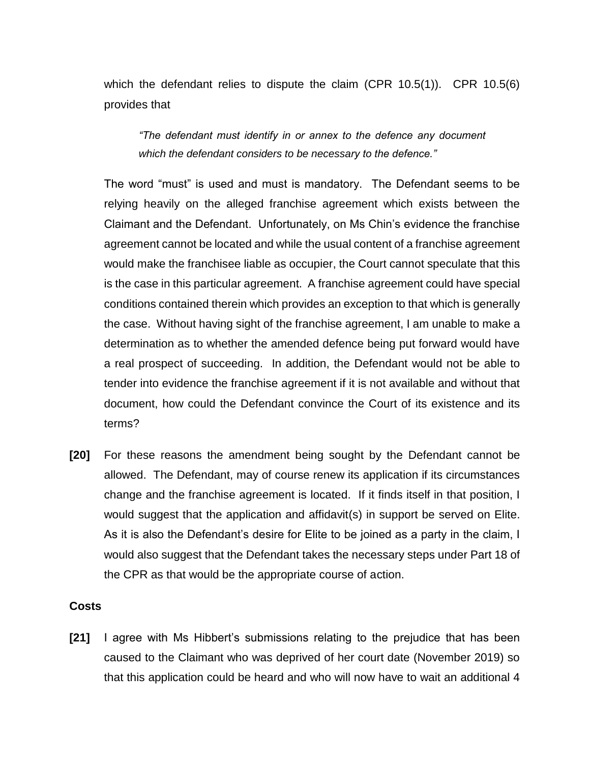which the defendant relies to dispute the claim (CPR 10.5(1)). CPR 10.5(6) provides that

*"The defendant must identify in or annex to the defence any document which the defendant considers to be necessary to the defence."*

The word "must" is used and must is mandatory. The Defendant seems to be relying heavily on the alleged franchise agreement which exists between the Claimant and the Defendant. Unfortunately, on Ms Chin's evidence the franchise agreement cannot be located and while the usual content of a franchise agreement would make the franchisee liable as occupier, the Court cannot speculate that this is the case in this particular agreement. A franchise agreement could have special conditions contained therein which provides an exception to that which is generally the case. Without having sight of the franchise agreement, I am unable to make a determination as to whether the amended defence being put forward would have a real prospect of succeeding. In addition, the Defendant would not be able to tender into evidence the franchise agreement if it is not available and without that document, how could the Defendant convince the Court of its existence and its terms?

**[20]** For these reasons the amendment being sought by the Defendant cannot be allowed. The Defendant, may of course renew its application if its circumstances change and the franchise agreement is located. If it finds itself in that position, I would suggest that the application and affidavit(s) in support be served on Elite. As it is also the Defendant's desire for Elite to be joined as a party in the claim, I would also suggest that the Defendant takes the necessary steps under Part 18 of the CPR as that would be the appropriate course of action.

## **Costs**

**[21]** I agree with Ms Hibbert's submissions relating to the prejudice that has been caused to the Claimant who was deprived of her court date (November 2019) so that this application could be heard and who will now have to wait an additional 4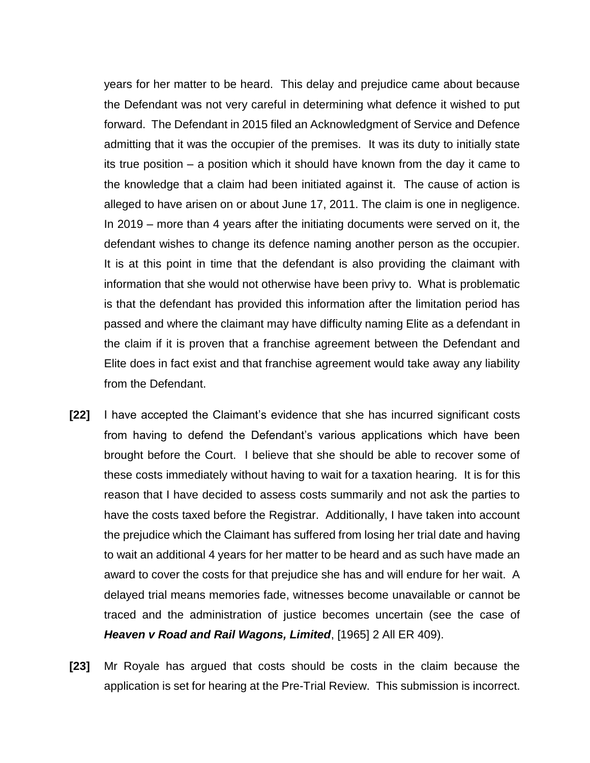years for her matter to be heard. This delay and prejudice came about because the Defendant was not very careful in determining what defence it wished to put forward. The Defendant in 2015 filed an Acknowledgment of Service and Defence admitting that it was the occupier of the premises. It was its duty to initially state its true position – a position which it should have known from the day it came to the knowledge that a claim had been initiated against it. The cause of action is alleged to have arisen on or about June 17, 2011. The claim is one in negligence. In 2019 – more than 4 years after the initiating documents were served on it, the defendant wishes to change its defence naming another person as the occupier. It is at this point in time that the defendant is also providing the claimant with information that she would not otherwise have been privy to. What is problematic is that the defendant has provided this information after the limitation period has passed and where the claimant may have difficulty naming Elite as a defendant in the claim if it is proven that a franchise agreement between the Defendant and Elite does in fact exist and that franchise agreement would take away any liability from the Defendant.

- **[22]** I have accepted the Claimant's evidence that she has incurred significant costs from having to defend the Defendant's various applications which have been brought before the Court. I believe that she should be able to recover some of these costs immediately without having to wait for a taxation hearing. It is for this reason that I have decided to assess costs summarily and not ask the parties to have the costs taxed before the Registrar. Additionally, I have taken into account the prejudice which the Claimant has suffered from losing her trial date and having to wait an additional 4 years for her matter to be heard and as such have made an award to cover the costs for that prejudice she has and will endure for her wait. A delayed trial means memories fade, witnesses become unavailable or cannot be traced and the administration of justice becomes uncertain (see the case of *Heaven v Road and Rail Wagons, Limited*, [1965] 2 All ER 409).
- **[23]** Mr Royale has argued that costs should be costs in the claim because the application is set for hearing at the Pre-Trial Review. This submission is incorrect.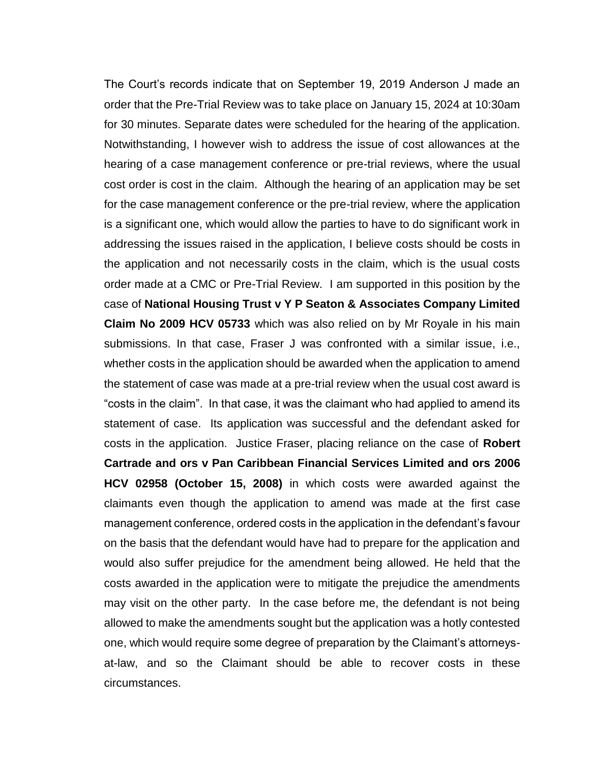The Court's records indicate that on September 19, 2019 Anderson J made an order that the Pre-Trial Review was to take place on January 15, 2024 at 10:30am for 30 minutes. Separate dates were scheduled for the hearing of the application. Notwithstanding, I however wish to address the issue of cost allowances at the hearing of a case management conference or pre-trial reviews, where the usual cost order is cost in the claim. Although the hearing of an application may be set for the case management conference or the pre-trial review, where the application is a significant one, which would allow the parties to have to do significant work in addressing the issues raised in the application, I believe costs should be costs in the application and not necessarily costs in the claim, which is the usual costs order made at a CMC or Pre-Trial Review. I am supported in this position by the case of **National Housing Trust v Y P Seaton & Associates Company Limited Claim No 2009 HCV 05733** which was also relied on by Mr Royale in his main submissions. In that case, Fraser J was confronted with a similar issue, i.e., whether costs in the application should be awarded when the application to amend the statement of case was made at a pre-trial review when the usual cost award is "costs in the claim". In that case, it was the claimant who had applied to amend its statement of case. Its application was successful and the defendant asked for costs in the application. Justice Fraser, placing reliance on the case of **Robert Cartrade and ors v Pan Caribbean Financial Services Limited and ors 2006 HCV 02958 (October 15, 2008)** in which costs were awarded against the claimants even though the application to amend was made at the first case management conference, ordered costs in the application in the defendant's favour on the basis that the defendant would have had to prepare for the application and would also suffer prejudice for the amendment being allowed. He held that the costs awarded in the application were to mitigate the prejudice the amendments may visit on the other party. In the case before me, the defendant is not being allowed to make the amendments sought but the application was a hotly contested one, which would require some degree of preparation by the Claimant's attorneysat-law, and so the Claimant should be able to recover costs in these circumstances.